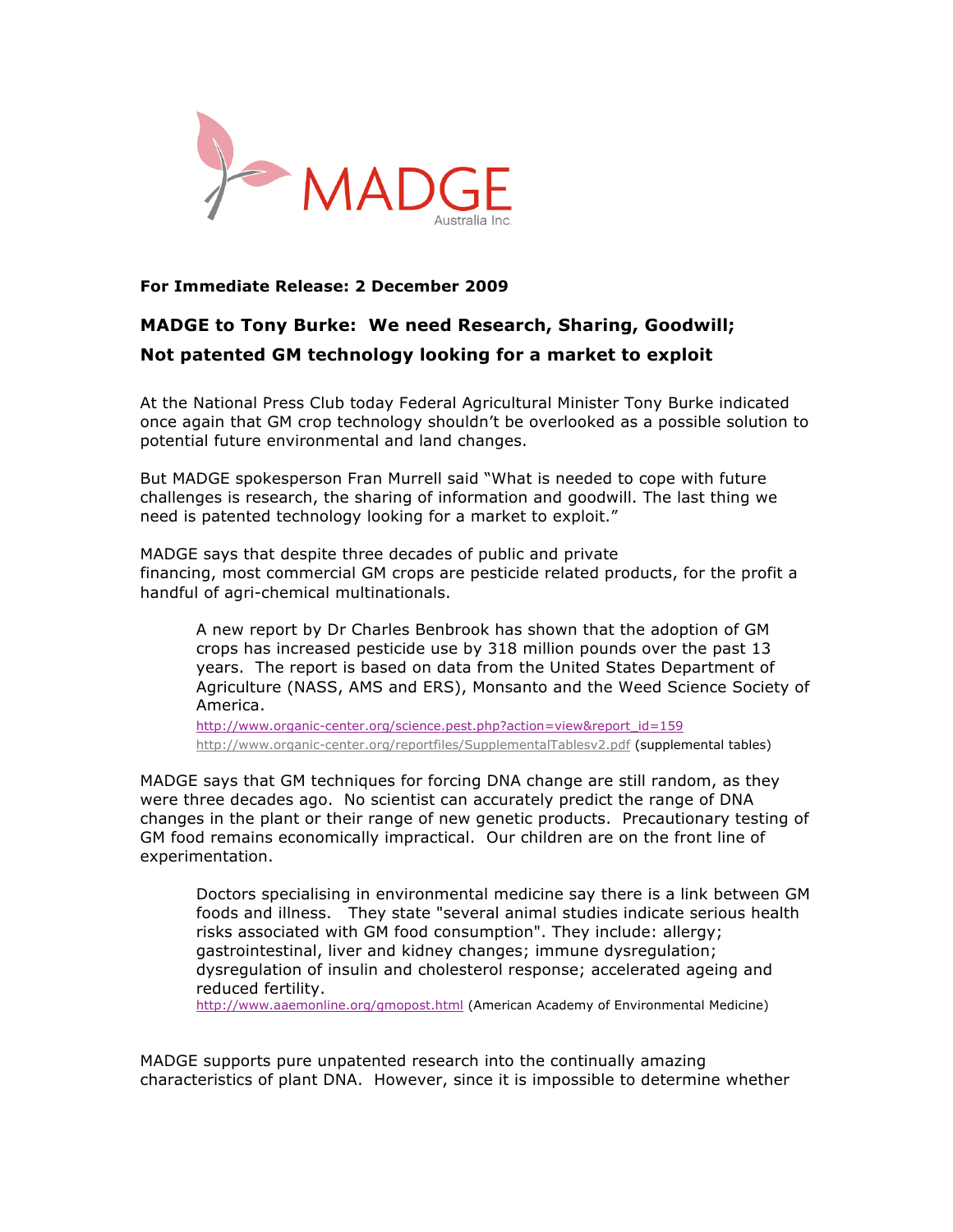

## **For Immediate Release: 2 December 2009**

## **MADGE to Tony Burke: We need Research, Sharing, Goodwill; Not patented GM technology looking for a market to exploit**

At the National Press Club today Federal Agricultural Minister Tony Burke indicated once again that GM crop technology shouldn't be overlooked as a possible solution to potential future environmental and land changes.

But MADGE spokesperson Fran Murrell said "What is needed to cope with future challenges is research, the sharing of information and goodwill. The last thing we need is patented technology looking for a market to exploit."

MADGE says that despite three decades of public and private financing, most commercial GM crops are pesticide related products, for the profit a handful of agri-chemical multinationals.

A new report by Dr Charles Benbrook has shown that the adoption of GM crops has increased pesticide use by 318 million pounds over the past 13 years. The report is based on data from the United States Department of Agriculture (NASS, AMS and ERS), Monsanto and the Weed Science Society of America.

http://www.organic-center.org/science.pest.php?action=view&report\_id=159 http://www.organic-center.org/reportfiles/SupplementalTablesv2.pdf (supplemental tables)

MADGE says that GM techniques for forcing DNA change are still random, as they were three decades ago. No scientist can accurately predict the range of DNA changes in the plant or their range of new genetic products. Precautionary testing of GM food remains economically impractical. Our children are on the front line of experimentation.

Doctors specialising in environmental medicine say there is a link between GM foods and illness. They state "several animal studies indicate serious health risks associated with GM food consumption". They include: allergy; gastrointestinal, liver and kidney changes; immune dysregulation; dysregulation of insulin and cholesterol response; accelerated ageing and reduced fertility.

http://www.aaemonline.org/gmopost.html (American Academy of Environmental Medicine)

MADGE supports pure unpatented research into the continually amazing characteristics of plant DNA. However, since it is impossible to determine whether